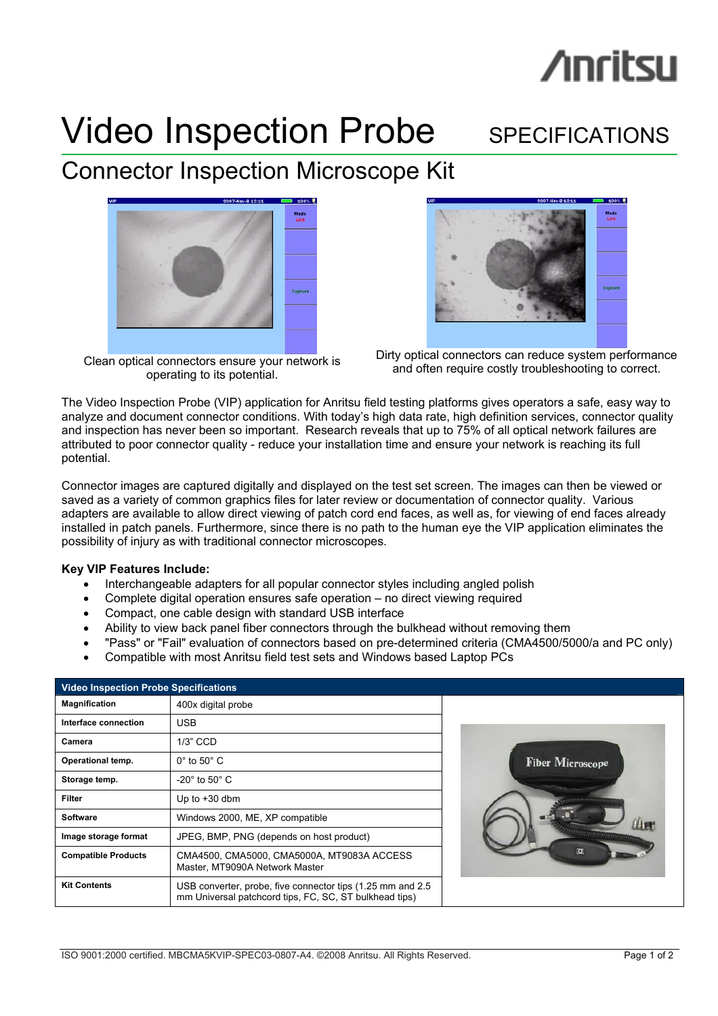# **/inritsu**

# Video Inspection Probe SPECIFICATIONS

## Connector Inspection Microscope Kit



Clean optical connectors ensure your network is operating to its potential.



Dirty optical connectors can reduce system performance and often require costly troubleshooting to correct.

The Video Inspection Probe (VIP) application for Anritsu field testing platforms gives operators a safe, easy way to analyze and document connector conditions. With today's high data rate, high definition services, connector quality and inspection has never been so important. Research reveals that up to 75% of all optical network failures are attributed to poor connector quality - reduce your installation time and ensure your network is reaching its full potential.

Connector images are captured digitally and displayed on the test set screen. The images can then be viewed or saved as a variety of common graphics files for later review or documentation of connector quality. Various adapters are available to allow direct viewing of patch cord end faces, as well as, for viewing of end faces already installed in patch panels. Furthermore, since there is no path to the human eye the VIP application eliminates the possibility of injury as with traditional connector microscopes.

## **Key VIP Features Include:**

- Interchangeable adapters for all popular connector styles including angled polish
- Complete digital operation ensures safe operation no direct viewing required
- Compact, one cable design with standard USB interface
- Ability to view back panel fiber connectors through the bulkhead without removing them
- "Pass" or "Fail" evaluation of connectors based on pre-determined criteria (CMA4500/5000/a and PC only)
- Compatible with most Anritsu field test sets and Windows based Laptop PCs

| <b>Video Inspection Probe Specifications</b> |                                                                                                                       |  |  |  |  |
|----------------------------------------------|-----------------------------------------------------------------------------------------------------------------------|--|--|--|--|
| <b>Magnification</b>                         | 400x digital probe                                                                                                    |  |  |  |  |
| Interface connection                         | <b>USB</b>                                                                                                            |  |  |  |  |
| Camera                                       | 1/3" CCD                                                                                                              |  |  |  |  |
| Operational temp.                            | $0^\circ$ to $50^\circ$ C                                                                                             |  |  |  |  |
| Storage temp.                                | $-20^\circ$ to 50 $^\circ$ C                                                                                          |  |  |  |  |
| <b>Filter</b>                                | Up to $+30$ dbm                                                                                                       |  |  |  |  |
| <b>Software</b>                              | Windows 2000, ME, XP compatible                                                                                       |  |  |  |  |
| Image storage format                         | JPEG, BMP, PNG (depends on host product)                                                                              |  |  |  |  |
| <b>Compatible Products</b>                   | CMA4500, CMA5000, CMA5000A, MT9083A ACCESS<br>Master, MT9090A Network Master                                          |  |  |  |  |
| <b>Kit Contents</b>                          | USB converter, probe, five connector tips (1.25 mm and 2.5)<br>mm Universal patchcord tips, FC, SC, ST bulkhead tips) |  |  |  |  |